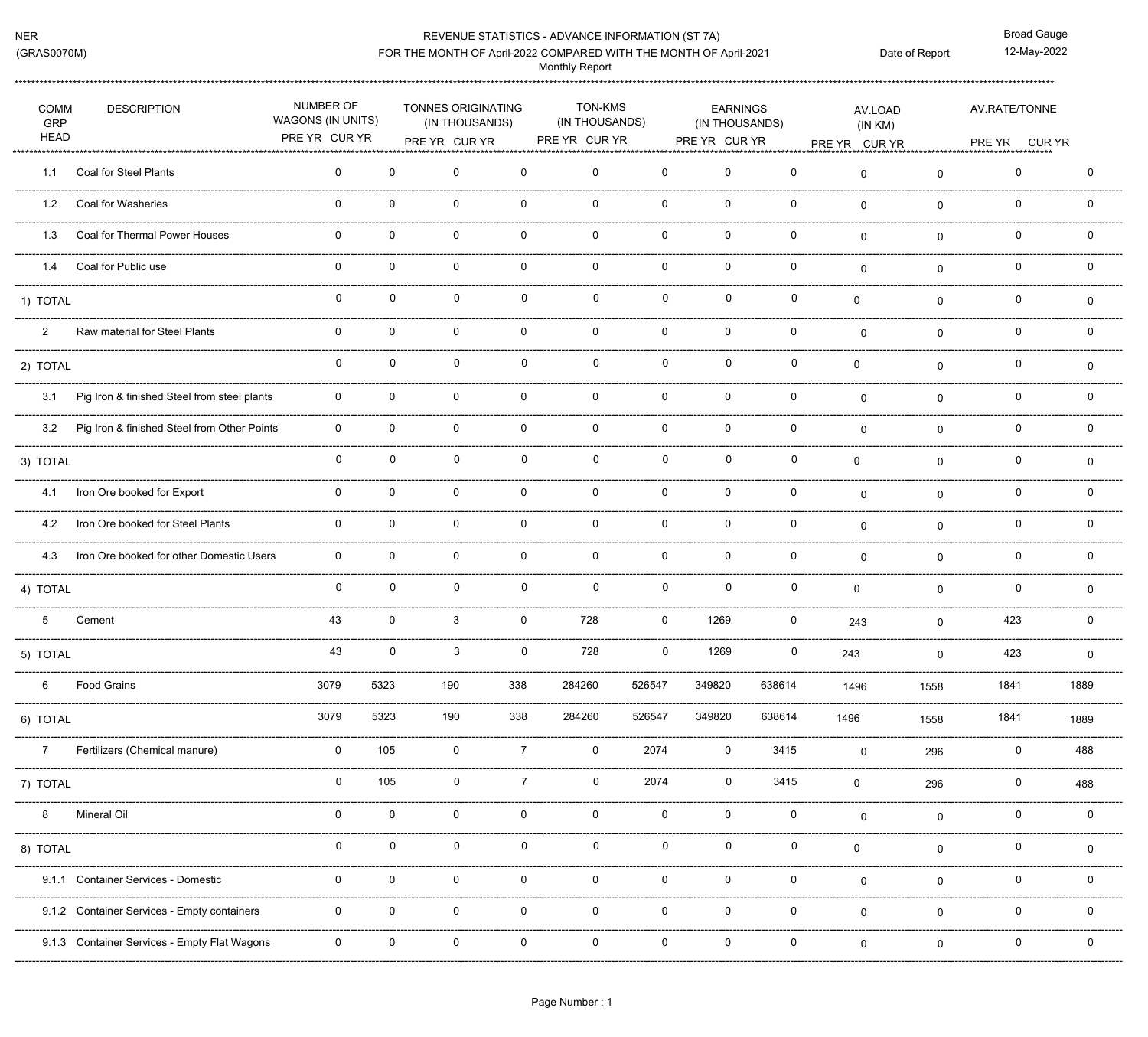## REVENUE STATISTICS - ADVANCE INFORMATION (ST 7A)

**Broad Gauge** 12-May-2022 Date of Report

## FOR THE MONTH OF April-2022 COMPARED WITH THE MONTH OF April-2021

**Monthly Report** 

| <b>COMM</b><br>GRP<br><b>HEAD</b> | <b>DESCRIPTION</b>                           | NUMBER OF<br>WAGONS (IN UNITS)<br>PRE YR CUR YR |              | TONNES ORIGINATING<br>(IN THOUSANDS) |                | <b>TON-KMS</b><br>(IN THOUSANDS) |              | <b>EARNINGS</b><br>(IN THOUSANDS) |             | AV.LOAD<br>(IN KM)                      |                | AV.RATE/TONNE                           |              |  |
|-----------------------------------|----------------------------------------------|-------------------------------------------------|--------------|--------------------------------------|----------------|----------------------------------|--------------|-----------------------------------|-------------|-----------------------------------------|----------------|-----------------------------------------|--------------|--|
|                                   |                                              |                                                 |              | PRE YR CUR YR                        |                | PRE YR CUR YR                    |              | PRE YR CUR YR                     |             | PRE YR CUR YR<br>*******<br>*********** | ***********    | PRE YR CUR YR<br>********************** |              |  |
| 1.1                               | <b>Coal for Steel Plants</b>                 | 0                                               | $\mathbf{0}$ | 0                                    | 0              | $\Omega$                         | $\Omega$     | $\Omega$                          | 0           | $\mathbf 0$                             | $\mathbf 0$    | 0                                       | $\mathbf 0$  |  |
| 1.2                               | Coal for Washeries                           | 0                                               | $\mathbf 0$  | 0                                    | 0              | $\mathbf 0$                      | 0            | $\mathbf{0}$                      | 0           | $\Omega$                                | $\mathbf{0}$   | 0                                       | 0            |  |
| 1.3                               | Coal for Thermal Power Houses                | $\mathbf 0$                                     | $\mathbf{0}$ | 0                                    | 0              | $\Omega$                         | 0            | $\Omega$                          | 0           | $\Omega$                                | $\mathbf{0}$   | 0                                       | $\mathbf{0}$ |  |
| 1.4                               | Coal for Public use                          | $\mathbf{0}$                                    | $\mathbf{0}$ | 0                                    | $\mathbf 0$    | $\Omega$                         | $\mathbf 0$  | $\mathbf{0}$                      | 0           | $\mathbf{0}$                            | $\mathbf{0}$   | 0                                       | $\Omega$     |  |
| 1) TOTAL                          |                                              | $\mathbf{0}$                                    | $\mathbf{0}$ | $\mathbf{0}$                         | $\Omega$       | 0                                | $\mathbf{0}$ | $\Omega$                          | 0           | $\mathbf{0}$                            | $\mathbf 0$    | 0                                       | 0            |  |
| $\overline{2}$                    | Raw material for Steel Plants                | 0                                               | $\mathbf 0$  | 0                                    | 0              | $\mathbf 0$                      | $\mathbf 0$  | $\mathbf 0$                       | $\mathbf 0$ | $\mathbf 0$                             | $\mathbf 0$    | 0                                       | 0            |  |
| 2) TOTAL                          |                                              | 0                                               | $\mathbf 0$  | $\mathbf 0$                          | $\mathbf 0$    | $\mathbf 0$                      | $\mathbf 0$  | $\mathbf{0}$                      | 0           | $\mathbf 0$                             | $\mathbf{0}$   | 0                                       | $\Omega$     |  |
| 3.1                               | Pig Iron & finished Steel from steel plants  | $\mathbf 0$                                     | $\mathbf{0}$ | $\mathbf 0$                          | $\mathbf 0$    | $\Omega$                         | $\mathbf{0}$ | $\mathbf{0}$                      | 0           | $\mathbf{0}$                            | $\mathbf{0}$   | 0                                       | $\Omega$     |  |
| 3.2                               | Pig Iron & finished Steel from Other Points  | $\mathbf 0$                                     | $\mathbf{0}$ | 0                                    | $\mathbf 0$    | $\Omega$                         | $\mathbf 0$  | $\Omega$                          | $\mathbf 0$ | $\mathbf 0$                             | $\mathbf 0$    | 0                                       | $\mathbf{0}$ |  |
| 3) TOTAL                          |                                              | $\mathbf 0$                                     | $\mathbf 0$  | $\mathbf 0$                          | $\mathbf{0}$   | $\mathbf 0$                      | $\mathbf 0$  | $\mathbf 0$                       | $\mathbf 0$ | $\mathsf 0$                             | $\mathbf 0$    | 0                                       | 0            |  |
| 4.1                               | Iron Ore booked for Export                   | $\mathbf 0$                                     | $\mathbf{0}$ | $\mathbf 0$                          | $\mathbf 0$    | $\mathbf{0}$                     | $\mathbf 0$  | $\mathbf{0}$                      | 0           | $\mathbf{0}$                            | $\mathbf{0}$   | $\mathbf 0$                             | $\mathbf 0$  |  |
| 4.2                               | Iron Ore booked for Steel Plants             | $\Omega$                                        | $\mathbf{0}$ | $\mathbf 0$                          | $\mathbf 0$    | $\mathbf{0}$                     | $\mathbf{0}$ | $\Omega$                          | 0           | $\Omega$                                | $\Omega$       | 0                                       | $\Omega$     |  |
| 4.3                               | Iron Ore booked for other Domestic Users     | $\mathbf 0$                                     | $\mathbf{0}$ | $\mathbf 0$                          | $\mathbf 0$    | $\mathbf{0}$                     | $\mathbf{0}$ | $\mathbf{0}$                      | 0           | $\mathbf{0}$                            | $\mathbf{0}$   | 0                                       | $\mathbf{0}$ |  |
| 4) TOTAL                          |                                              | $\mathbf 0$                                     | $\mathbf{0}$ | $\mathbf{0}$                         | $\mathbf 0$    | $\mathbf 0$                      | $\mathbf 0$  | $\Omega$                          | $\mathbf 0$ | 0                                       | $\mathbf 0$    | 0                                       | $\mathbf 0$  |  |
| $5^{\circ}$                       | Cement                                       | 43                                              | $\mathsf{O}$ | 3                                    | 0              | 728                              | $\mathbf 0$  | 1269                              | $\mathbf 0$ | 243                                     | $\mathbf 0$    | 423                                     | $\Omega$     |  |
| 5) TOTAL                          |                                              | 43                                              | $\mathbf 0$  | $\mathbf{3}$                         | $\mathbf 0$    | 728                              | $\mathbf 0$  | 1269                              | $\mathbf 0$ | 243                                     | $\mathbf 0$    | 423                                     | $\mathbf 0$  |  |
| 6                                 | <b>Food Grains</b>                           | 3079                                            | 5323         | 190                                  | 338            | 284260                           | 526547       | 349820                            | 638614      | 1496                                    | 1558           | 1841                                    | 1889         |  |
| 6) TOTAL                          |                                              | 3079                                            | 5323         | 190                                  | 338            | 284260                           | 526547       | 349820                            | 638614      | 1496                                    | 1558           | 1841                                    | 1889         |  |
| $\overline{7}$                    | Fertilizers (Chemical manure)                | 0                                               | 105          | $\mathsf 0$                          | $\overline{7}$ | $\mathbf 0$                      | 2074         | $\mathbf 0$                       | 3415        | $\mathbf 0$                             | 296            | $\pmb{0}$                               | 488          |  |
| 7) TOTAL                          |                                              | 0                                               | 105          | $\mathbf 0$                          | $\overline{7}$ | 0                                | 2074         | $\mathbf 0$                       | 3415        | 0                                       | 296            | 0                                       | 488          |  |
| 8                                 | Mineral Oil                                  | 0                                               | $\mathbf 0$  | $\pmb{0}$                            | $\mathbf 0$    | $\mathbf 0$                      | $\mathbf 0$  | $\mathbf 0$                       | $\mathbf 0$ | $\mathbf 0$                             | $\mathbf 0$    | 0                                       | $\mathbf 0$  |  |
| 8) TOTAL                          |                                              | 0                                               | 0            | $\mathbf 0$                          | 0              | 0                                | $\mathbf 0$  | $\mathbf 0$                       | $\mathbf 0$ | 0                                       | $\mathbf 0$    | 0                                       | $\mathbf 0$  |  |
|                                   | 9.1.1 Container Services - Domestic          | 0                                               | $\mathbf 0$  | 0                                    | $\mathbf 0$    | $\mathbf{0}$                     | $\mathbf 0$  | 0                                 | $\pmb{0}$   | $\mathbf 0$                             | 0              | 0                                       | 0            |  |
|                                   | 9.1.2 Container Services - Empty containers  | 0                                               | 0            | 0                                    | 0              | 0                                | $\mathbf 0$  | 0                                 | 0           | $\mathbf 0$                             | $\mathbf 0$    | 0                                       | 0            |  |
|                                   | 9.1.3 Container Services - Empty Flat Wagons | 0                                               | $\mathbf 0$  | 0                                    | 0              | $\mathbf 0$                      | 0            | $\mathbf 0$                       | $\mathbf 0$ | $\mathbf 0$                             | $\overline{0}$ | 0                                       | $\mathbf 0$  |  |